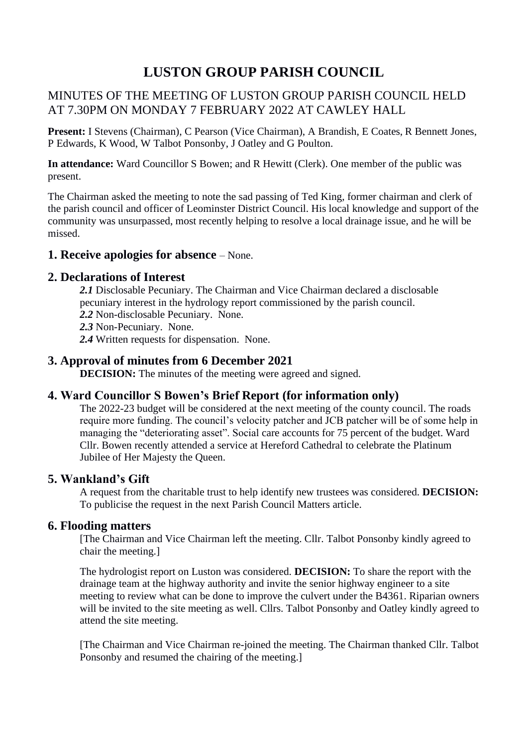# **LUSTON GROUP PARISH COUNCIL**

## MINUTES OF THE MEETING OF LUSTON GROUP PARISH COUNCIL HELD AT 7.30PM ON MONDAY 7 FEBRUARY 2022 AT CAWLEY HALL

**Present:** I Stevens (Chairman), C Pearson (Vice Chairman), A Brandish, E Coates, R Bennett Jones, P Edwards, K Wood, W Talbot Ponsonby, J Oatley and G Poulton.

**In attendance:** Ward Councillor S Bowen; and R Hewitt (Clerk). One member of the public was present.

The Chairman asked the meeting to note the sad passing of Ted King, former chairman and clerk of the parish council and officer of Leominster District Council. His local knowledge and support of the community was unsurpassed, most recently helping to resolve a local drainage issue, and he will be missed.

## **1. Receive apologies for absence** – None.

## **2. Declarations of Interest**

- *2.1* Disclosable Pecuniary. The Chairman and Vice Chairman declared a disclosable pecuniary interest in the hydrology report commissioned by the parish council.
- *2.2* Non-disclosable Pecuniary. None.
- *2.3* Non-Pecuniary. None.
- *2.4* Written requests for dispensation. None.

## **3. Approval of minutes from 6 December 2021**

**DECISION:** The minutes of the meeting were agreed and signed.

## **4. Ward Councillor S Bowen's Brief Report (for information only)**

The 2022-23 budget will be considered at the next meeting of the county council. The roads require more funding. The council's velocity patcher and JCB patcher will be of some help in managing the "deteriorating asset". Social care accounts for 75 percent of the budget. Ward Cllr. Bowen recently attended a service at Hereford Cathedral to celebrate the Platinum Jubilee of Her Majesty the Queen.

#### **5. Wankland's Gift**

A request from the charitable trust to help identify new trustees was considered. **DECISION:** To publicise the request in the next Parish Council Matters article.

#### **6. Flooding matters**

[The Chairman and Vice Chairman left the meeting. Cllr. Talbot Ponsonby kindly agreed to chair the meeting.]

The hydrologist report on Luston was considered. **DECISION:** To share the report with the drainage team at the highway authority and invite the senior highway engineer to a site meeting to review what can be done to improve the culvert under the B4361. Riparian owners will be invited to the site meeting as well. Cllrs. Talbot Ponsonby and Oatley kindly agreed to attend the site meeting.

[The Chairman and Vice Chairman re-joined the meeting. The Chairman thanked Cllr. Talbot Ponsonby and resumed the chairing of the meeting.]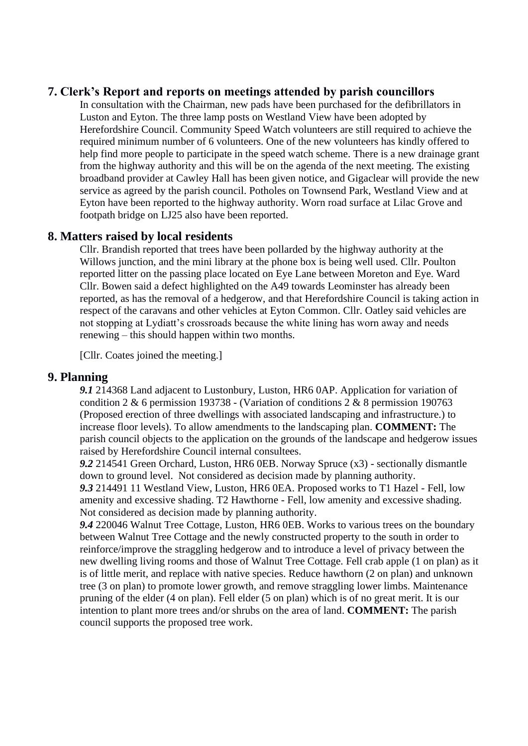## **7. Clerk's Report and reports on meetings attended by parish councillors**

In consultation with the Chairman, new pads have been purchased for the defibrillators in Luston and Eyton. The three lamp posts on Westland View have been adopted by Herefordshire Council. Community Speed Watch volunteers are still required to achieve the required minimum number of 6 volunteers. One of the new volunteers has kindly offered to help find more people to participate in the speed watch scheme. There is a new drainage grant from the highway authority and this will be on the agenda of the next meeting. The existing broadband provider at Cawley Hall has been given notice, and Gigaclear will provide the new service as agreed by the parish council. Potholes on Townsend Park, Westland View and at Eyton have been reported to the highway authority. Worn road surface at Lilac Grove and footpath bridge on LJ25 also have been reported.

#### **8. Matters raised by local residents**

Cllr. Brandish reported that trees have been pollarded by the highway authority at the Willows junction, and the mini library at the phone box is being well used. Cllr. Poulton reported litter on the passing place located on Eye Lane between Moreton and Eye. Ward Cllr. Bowen said a defect highlighted on the A49 towards Leominster has already been reported, as has the removal of a hedgerow, and that Herefordshire Council is taking action in respect of the caravans and other vehicles at Eyton Common. Cllr. Oatley said vehicles are not stopping at Lydiatt's crossroads because the white lining has worn away and needs renewing – this should happen within two months.

[Cllr. Coates joined the meeting.]

#### **9. Planning**

*9.1* 214368 Land adjacent to Lustonbury, Luston, HR6 0AP. Application for variation of condition 2 & 6 permission 193738 - (Variation of conditions 2 & 8 permission 190763 (Proposed erection of three dwellings with associated landscaping and infrastructure.) to increase floor levels). To allow amendments to the landscaping plan. **COMMENT:** The parish council objects to the application on the grounds of the landscape and hedgerow issues raised by Herefordshire Council internal consultees.

*9.2* 214541 Green Orchard, Luston, HR6 0EB. Norway Spruce (x3) - sectionally dismantle down to ground level. Not considered as decision made by planning authority.

*9.3* 214491 11 Westland View, Luston, HR6 0EA. Proposed works to T1 Hazel - Fell, low amenity and excessive shading. T2 Hawthorne - Fell, low amenity and excessive shading. Not considered as decision made by planning authority.

*9.4* 220046 Walnut Tree Cottage, Luston, HR6 0EB. Works to various trees on the boundary between Walnut Tree Cottage and the newly constructed property to the south in order to reinforce/improve the straggling hedgerow and to introduce a level of privacy between the new dwelling living rooms and those of Walnut Tree Cottage. Fell crab apple (1 on plan) as it is of little merit, and replace with native species. Reduce hawthorn (2 on plan) and unknown tree (3 on plan) to promote lower growth, and remove straggling lower limbs. Maintenance pruning of the elder (4 on plan). Fell elder (5 on plan) which is of no great merit. It is our intention to plant more trees and/or shrubs on the area of land. **COMMENT:** The parish council supports the proposed tree work.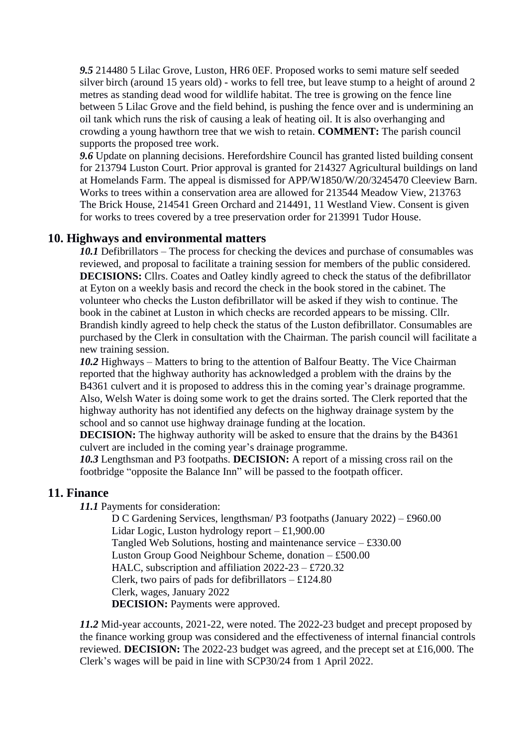*9.5* 214480 5 Lilac Grove, Luston, HR6 0EF. Proposed works to semi mature self seeded silver birch (around 15 years old) - works to fell tree, but leave stump to a height of around 2 metres as standing dead wood for wildlife habitat. The tree is growing on the fence line between 5 Lilac Grove and the field behind, is pushing the fence over and is undermining an oil tank which runs the risk of causing a leak of heating oil. It is also overhanging and crowding a young hawthorn tree that we wish to retain. **COMMENT:** The parish council supports the proposed tree work.

*9.6* Update on planning decisions. Herefordshire Council has granted listed building consent for 213794 Luston Court. Prior approval is granted for 214327 Agricultural buildings on land at Homelands Farm. The appeal is dismissed for APP/W1850/W/20/3245470 Cleeview Barn. Works to trees within a conservation area are allowed for 213544 Meadow View, 213763 The Brick House, 214541 Green Orchard and 214491, 11 Westland View. Consent is given for works to trees covered by a tree preservation order for 213991 Tudor House.

#### **10. Highways and environmental matters**

10.1 Defibrillators – The process for checking the devices and purchase of consumables was reviewed, and proposal to facilitate a training session for members of the public considered. **DECISIONS:** Cllrs. Coates and Oatley kindly agreed to check the status of the defibrillator at Eyton on a weekly basis and record the check in the book stored in the cabinet. The volunteer who checks the Luston defibrillator will be asked if they wish to continue. The book in the cabinet at Luston in which checks are recorded appears to be missing. Cllr. Brandish kindly agreed to help check the status of the Luston defibrillator. Consumables are purchased by the Clerk in consultation with the Chairman. The parish council will facilitate a new training session.

*10.2* Highways – Matters to bring to the attention of Balfour Beatty. The Vice Chairman reported that the highway authority has acknowledged a problem with the drains by the B4361 culvert and it is proposed to address this in the coming year's drainage programme. Also, Welsh Water is doing some work to get the drains sorted. The Clerk reported that the highway authority has not identified any defects on the highway drainage system by the school and so cannot use highway drainage funding at the location.

**DECISION:** The highway authority will be asked to ensure that the drains by the B4361 culvert are included in the coming year's drainage programme.

*10.3* Lengthsman and P3 footpaths. **DECISION:** A report of a missing cross rail on the footbridge "opposite the Balance Inn" will be passed to the footpath officer.

#### **11. Finance**

*11.1* Payments for consideration:

D C Gardening Services, lengthsman/ P3 footpaths (January 2022) – £960.00 Lidar Logic, Luston hydrology report – £1,900.00 Tangled Web Solutions, hosting and maintenance service – £330.00 Luston Group Good Neighbour Scheme, donation – £500.00 HALC, subscription and affiliation 2022-23 – £720.32 Clerk, two pairs of pads for defibrillators  $-$  £124.80 Clerk, wages, January 2022 **DECISION:** Payments were approved.

*11.2* Mid-year accounts, 2021-22, were noted. The 2022-23 budget and precept proposed by the finance working group was considered and the effectiveness of internal financial controls reviewed. **DECISION:** The 2022-23 budget was agreed, and the precept set at £16,000. The Clerk's wages will be paid in line with SCP30/24 from 1 April 2022.